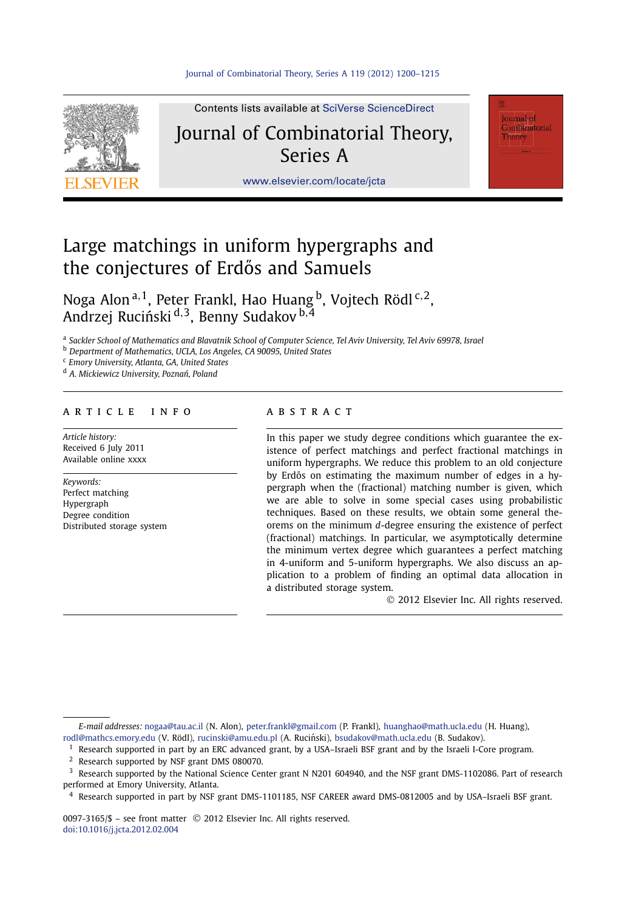

Contents lists available at [SciVerse ScienceDirect](http://www.ScienceDirect.com/)

# Journal of Combinatorial Theory, Series A

[www.elsevier.com/locate/jcta](http://www.elsevier.com/locate/jcta)

## Large matchings in uniform hypergraphs and the conjectures of Erdős and Samuels

Noga Alon <sup>a</sup>*,*1, Peter Frankl, Hao Huang b, Vojtech Rödl <sup>c</sup>*,*2, Andrzej Ruciński<sup>d, 3</sup>, Benny Sudakov<sup>b, 4</sup>

<sup>a</sup> *Sackler School of Mathematics and Blavatnik School of Computer Science, Tel Aviv University, Tel Aviv 69978, Israel*

<sup>b</sup> *Department of Mathematics, UCLA, Los Angeles, CA 90095, United States*

<sup>c</sup> *Emory University, Atlanta, GA, United States*

<sup>d</sup> *A. Mickiewicz University, Pozna´n, Poland*

### article info abstract

*Article history:* Received 6 July 2011 Available online xxxx

*Keywords:* Perfect matching Hypergraph Degree condition Distributed storage system

In this paper we study degree conditions which guarantee the existence of perfect matchings and perfect fractional matchings in uniform hypergraphs. We reduce this problem to an old conjecture by Erdős on estimating the maximum number of edges in a hypergraph when the (fractional) matching number is given, which we are able to solve in some special cases using probabilistic techniques. Based on these results, we obtain some general theorems on the minimum *d*-degree ensuring the existence of perfect (fractional) matchings. In particular, we asymptotically determine the minimum vertex degree which guarantees a perfect matching in 4-uniform and 5-uniform hypergraphs. We also discuss an application to a problem of finding an optimal data allocation in a distributed storage system.

© 2012 Elsevier Inc. All rights reserved.

**Journal** of .<br>Combinatorial Theory

*E-mail addresses:* [nogaa@tau.ac.il](mailto:nogaa@tau.ac.il) (N. Alon), [peter.frankl@gmail.com](mailto:peter.frankl@gmail.com) (P. Frankl), [huanghao@math.ucla.edu](mailto:huanghao@math.ucla.edu) (H. Huang), [rodl@mathcs.emory.edu](mailto:rodl@mathcs.emory.edu) (V. Rödl), [rucinski@amu.edu.pl](mailto:rucinski@amu.edu.pl) (A. Ruciński), [bsudakov@math.ucla.edu](mailto:bsudakov@math.ucla.edu) (B. Sudakov).

- <sup>1</sup> Research supported in part by an ERC advanced grant, by a USA-Israeli BSF grant and by the Israeli I-Core program.
- <sup>2</sup> Research supported by NSF grant DMS 080070.
- <sup>3</sup> Research supported by the National Science Center grant N N201 604940, and the NSF grant DMS-1102086. Part of research performed at Emory University, Atlanta.

<sup>4</sup> Research supported in part by NSF grant DMS-1101185, NSF CAREER award DMS-0812005 and by USA–Israeli BSF grant.

0097-3165/\$ – see front matter © 2012 Elsevier Inc. All rights reserved. [doi:10.1016/j.jcta.2012.02.004](http://dx.doi.org/10.1016/j.jcta.2012.02.004)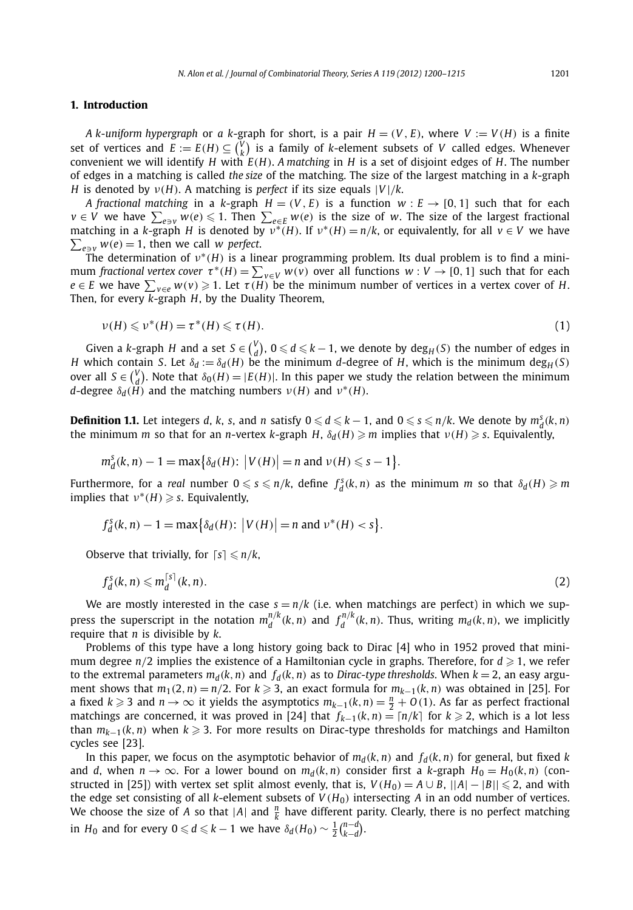#### **1. Introduction**

*A* k-uniform hypergraph or *a* k-graph for short, is a pair  $H = (V, E)$ , where  $V := V(H)$  is a finite set of vertices and  $E := E(H) \subseteq {V \choose k}$  is a family of *k*-element subsets of *V* called edges. Whenever convenient we will identify *H* with *E(H)*. *A matching* in *H* is a set of disjoint edges of *H*. The number of edges in a matching is called *the size* of the matching. The size of the largest matching in a *k*-graph *H* is denoted by  $v(H)$ . A matching is *perfect* if its size equals  $|V|/k$ .

*A fractional matching* in a *k*-graph  $H = (V, E)$  is a function  $w : E \rightarrow [0, 1]$  such that for each  $v \in V$  we have  $\sum_{e \ni v} w(e) \leqslant 1.$  Then  $\sum_{e \in E} w(e)$  is the size of  $w.$  The size of the largest fractional matching in a *k*-graph *H* is denoted by  $v^*(H)$ . If  $v^*(H) = n/k$ , or equivalently, for all  $v \in V$  we have  $\sum_{e \ni v} w(e) = 1$ , then we call *w perfect*.

The determination of  $v^*(H)$  is a linear programming problem. Its dual problem is to find a minimum *fractional vertex cover*  $\tau^*(H) = \sum_{v \in V} w(v)$  over all functions  $w: V \to [0, 1]$  such that for each  $e \in E$  we have  $\sum_{v \in e} w(v) \geq 1$ . Let  $\tau(H)$  be the minimum number of vertices in a vertex cover of *H*. Then, for every *k*-graph *H*, by the Duality Theorem,

$$
\nu(H) \leqslant \nu^*(H) = \tau^*(H) \leqslant \tau(H). \tag{1}
$$

Given a *k*-graph *H* and a set  $S \in \binom{V}{d}$ ,  $0 \le d \le k - 1$ , we denote by  $\deg_H(S)$  the number of edges in *H* which contain *S*. Let  $\delta_d := \delta_d(H)$  be the minimum *d*-degree of *H*, which is the minimum deg<sub>*H*</sub> *(S*) over all  $S \in {V \choose d}$ . Note that  $\delta_0(H) = |E(H)|$ . In this paper we study the relation between the minimum *d*-degree  $\delta_d$ (*H*<sup> $\prime$ </sup>) and the matching numbers  $ν$ (*H*) and  $ν$ <sup>\*</sup>(*H*).

**Definition 1.1.** Let integers d, k, s, and n satisfy  $0 \le d \le k - 1$ , and  $0 \le s \le n/k$ . We denote by  $m_d^s(k, n)$ the minimum *m* so that for an *n*-vertex *k*-graph *H*,  $\delta_d(H) \ge m$  implies that  $\nu(H) \ge s$ . Equivalently,

$$
m_d^s(k,n)-1=\max\big\{\delta_d(H)\colon \big|V(H)\big|=n\text{ and }\nu(H)\leqslant s-1\big\}.
$$

Furthermore, for a *real* number  $0 \le s \le n/k$ , define  $f_d^s(k,n)$  as the minimum m so that  $\delta_d(H) \ge m$ implies that  $v^*(H) \geqslant s$ . Equivalently,

$$
f_d^s(k, n) - 1 = \max\{\delta_d(H): |V(H)| = n \text{ and } \nu^*(H) < s\}.
$$

Observe that trivially, for  $\lceil s \rceil \leq n/k$ ,

$$
f_d^s(k,n) \leqslant m_d^{\lceil s \rceil}(k,n). \tag{2}
$$

We are mostly interested in the case  $s = n/k$  (i.e. when matchings are perfect) in which we suppress the superscript in the notation  $m_d^{n/k}(k, n)$  and  $f_d^{n/k}(k, n)$ . Thus, writing  $m_d(k, n)$ , we implicitly require that *n* is divisible by *k*.

Problems of this type have a long history going back to Dirac [4] who in 1952 proved that minimum degree  $n/2$  implies the existence of a Hamiltonian cycle in graphs. Therefore, for  $d \geq 1$ , we refer to the extremal parameters  $m_d(k, n)$  and  $f_d(k, n)$  as to *Dirac-type thresholds*. When  $k = 2$ , an easy argument shows that  $m_1(2, n) = n/2$ . For  $k \geq 3$ , an exact formula for  $m_{k-1}(k, n)$  was obtained in [25]. For a fixed *k* ≥ 3 and *n* → ∞ it yields the asymptotics  $m_{k-1}(k, n) = \frac{n}{2} + O(1)$ . As far as perfect fractional matchings are concerned, it was proved in [24] that  $f_{k-1}(k,n) = \lfloor n/k \rfloor$  for  $k ≥ 2$ , which is a lot less than *mk*−1*(k,n)* when *k* 3. For more results on Dirac-type thresholds for matchings and Hamilton cycles see [23].

In this paper, we focus on the asymptotic behavior of  $m_d(k, n)$  and  $f_d(k, n)$  for general, but fixed *k* and *d*, when  $n \to \infty$ . For a lower bound on  $m_d(k, n)$  consider first a *k*-graph  $H_0 = H_0(k, n)$  (constructed in [25]) with vertex set split almost evenly, that is,  $V(H_0) = A \cup B$ ,  $||A| - |B|| \le 2$ , and with the edge set consisting of all *k*-element subsets of  $V(H_0)$  intersecting *A* in an odd number of vertices. We choose the size of *A* so that  $|A|$  and  $\frac{n}{k}$  have different parity. Clearly, there is no perfect matching in  $H_0$  and for every  $0 \leqslant d \leqslant k - 1$  we have  $\delta_d(H_0) \sim \frac{1}{2} {n-d \choose k-d}$ .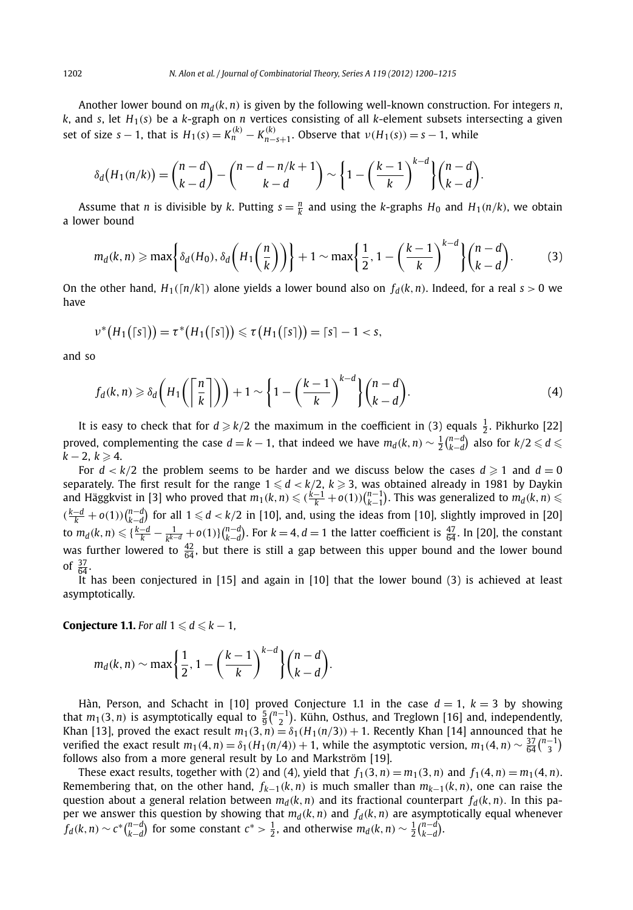Another lower bound on  $m_d(k, n)$  is given by the following well-known construction. For integers *n*, *k*, and *s*, let  $H_1(s)$  be a *k*-graph on *n* vertices consisting of all *k*-element subsets intersecting a given set of size  $s - 1$ , that is  $H_1(s) = K_n^{(k)} - K_{n-s+1}^{(k)}$ . Observe that  $\nu(H_1(s)) = s - 1$ , while

$$
\delta_d\big(H_1(n/k)\big) = \binom{n-d}{k-d} - \binom{n-d-n/k+1}{k-d} \sim \left\{1-\left(\frac{k-1}{k}\right)^{k-d}\right\} \binom{n-d}{k-d}.
$$

Assume that *n* is divisible by *k*. Putting  $s = \frac{n}{k}$  and using the *k*-graphs  $H_0$  and  $H_1(n/k)$ , we obtain a lower bound

$$
m_d(k, n) \geqslant \max\left\{\delta_d(H_0), \delta_d\left(H_1\left(\frac{n}{k}\right)\right)\right\} + 1 \sim \max\left\{\frac{1}{2}, 1 - \left(\frac{k-1}{k}\right)^{k-d}\right\} \binom{n-d}{k-d}.
$$
 (3)

On the other hand,  $H_1([n/k])$  alone yields a lower bound also on  $f_d(k,n)$ . Indeed, for a real  $s > 0$  we have

$$
\nu^*\big(H_1\big(\lceil s\rceil\big)\big)=\tau^*\big(H_1\big(\lceil s\rceil\big)\big)\leqslant \tau\big(H_1\big(\lceil s\rceil\big)\big)=\lceil s\rceil-1
$$

and so

$$
f_d(k,n) \geq \delta_d\left(H_1\left(\left\lceil \frac{n}{k} \right\rceil\right)\right) + 1 \sim \left\{1 - \left(\frac{k-1}{k}\right)^{k-d}\right\} \binom{n-d}{k-d}.
$$
 (4)

It is easy to check that for  $d \geq k/2$  the maximum in the coefficient in (3) equals  $\frac{1}{2}$ . Pikhurko [22] proved, complementing the case  $d = k - 1$ , that indeed we have  $m_d(k, n) \sim \frac{1}{2} {n-d \choose k-d}$  also for  $k/2 \leqslant d \leqslant$  $k − 2, k ≥ 4.$ 

For  $d < k/2$  the problem seems to be harder and we discuss below the cases  $d \ge 1$  and  $d = 0$ separately. The first result for the range  $1 \leqslant d < k/2, \, k \geqslant 3,$  was obtained already in 1981 by Daykin and Häggkvist in [3] who proved that  $m_1(k,n) \leqslant (\frac{k-1}{k}+o(1))\binom{n-1}{k-1}$ . This was generalized to  $m_d(k,n) \leqslant$  $(\frac{k-d}{k} + o(1))\binom{n-d}{k-d}$  for all  $1 \leq d < k/2$  in [10], and, using the ideas from [10], slightly improved in [20] to  $m_d(k,n) \leqslant \{\frac{k-d}{k}-\frac{1}{k^{k-d}}+o(1)\}\binom{n-d}{k-d}$ . For  $k=4$ ,  $d=1$  the latter coefficient is  $\frac{47}{64}$ . In [20], the constant was further lowered to  $\frac{42}{64}$ , but there is still a gap between this upper bound and the lower bound of  $\frac{37}{64}$ .

It has been conjectured in [15] and again in [10] that the lower bound (3) is achieved at least asymptotically.

**Conjecture 1.1.** For all  $1 \leq d \leq k - 1$ ,

$$
m_d(k,n) \sim \max\left\{\frac{1}{2}, 1 - \left(\frac{k-1}{k}\right)^{k-d}\right\} {n-d \choose k-d}.
$$

Hàn, Person, and Schacht in [10] proved Conjecture 1.1 in the case  $d = 1$ ,  $k = 3$  by showing that  $m_1(3, n)$  is asymptotically equal to  $\frac{5}{9} {n-1 \choose 2}$ . Kühn, Osthus, and Treglown [16] and, independently, Khan [13], proved the exact result  $m_1(3, n) = \delta_1(H_1(n/3)) + 1$ . Recently Khan [14] announced that he verified the exact result  $m_1(4, n) = \delta_1(H_1(n/4)) + 1$ , while the asymptotic version,  $m_1(4, n) \sim \frac{37}{64} {n-1 \choose 3}$ follows also from a more general result by Lo and Markström [19].

These exact results, together with (2) and (4), yield that  $f_1(3, n) = m_1(3, n)$  and  $f_1(4, n) = m_1(4, n)$ . Remembering that, on the other hand,  $f_{k-1}(k, n)$  is much smaller than  $m_{k-1}(k, n)$ , one can raise the question about a general relation between  $m_d(k, n)$  and its fractional counterpart  $f_d(k, n)$ . In this paper we answer this question by showing that  $m_d(k, n)$  and  $f_d(k, n)$  are asymptotically equal whenever  $f_d(k,n) \sim c^* \binom{n-d}{k-d}$  for some constant  $c^* > \frac{1}{2}$ , and otherwise  $m_d(k,n) \sim \frac{1}{2} \binom{n-d}{k-d}$ .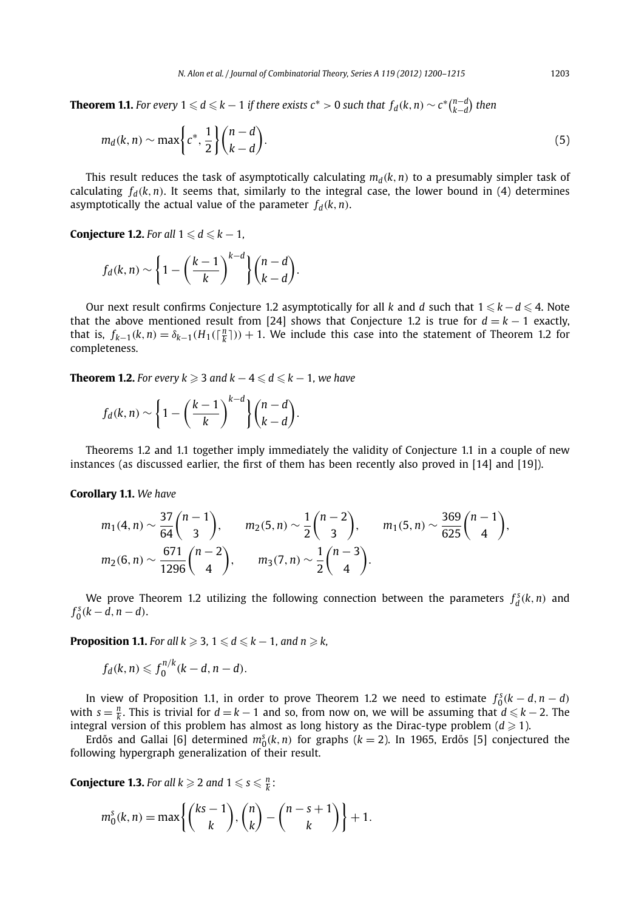**Theorem 1.1.** For every  $1\leqslant d\leqslant k-1$  if there exists  $\mathsf{c}^*>0$  such that  $f_d(k,n)\sim \mathsf{c}^* \binom{n-d}{k-d}$  then

$$
m_d(k,n) \sim \max\left\{c^*, \frac{1}{2}\right\} \binom{n-d}{k-d}.\tag{5}
$$

This result reduces the task of asymptotically calculating  $m_d(k, n)$  to a presumably simpler task of calculating  $f_d(k, n)$ . It seems that, similarly to the integral case, the lower bound in (4) determines asymptotically the actual value of the parameter  $f_d(k, n)$ .

**Conjecture 1.2.** For all  $1 \leq d \leq k - 1$ ,

$$
f_d(k,n) \sim \left\{1-\left(\frac{k-1}{k}\right)^{k-d}\right\} {n-d \choose k-d}.
$$

Our next result confirms Conjecture 1.2 asymptotically for all *k* and *d* such that  $1 \leqslant k - d \leqslant 4$ . Note that the above mentioned result from [24] shows that Conjecture 1.2 is true for  $d = k - 1$  exactly, that is,  $f_{k-1}(k,n) = \delta_{k-1}(H_1(\lceil \frac{n}{k} \rceil)) + 1$ . We include this case into the statement of Theorem 1.2 for completeness.

**Theorem 1.2.** For every  $k \geqslant 3$  and  $k - 4 \leqslant d \leqslant k - 1$ , we have

$$
f_d(k,n) \sim \left\{1-\left(\frac{k-1}{k}\right)^{k-d}\right\} {n-d \choose k-d}.
$$

Theorems 1.2 and 1.1 together imply immediately the validity of Conjecture 1.1 in a couple of new instances (as discussed earlier, the first of them has been recently also proved in [14] and [19]).

**Corollary 1.1.** *We have*

$$
m_1(4, n) \sim \frac{37}{64} {n-1 \choose 3}, \qquad m_2(5, n) \sim \frac{1}{2} {n-2 \choose 3}, \qquad m_1(5, n) \sim \frac{369}{625} {n-1 \choose 4},
$$
  
\n
$$
m_2(6, n) \sim \frac{671}{1296} {n-2 \choose 4}, \qquad m_3(7, n) \sim \frac{1}{2} {n-3 \choose 4}.
$$

We prove Theorem 1.2 utilizing the following connection between the parameters  $f_d^s(k, n)$  and  $f_0^s(k-d, n-d)$ .

**Proposition 1.1.** For all  $k \geqslant 3$ ,  $1 \leqslant d \leqslant k - 1$ , and  $n \geqslant k$ ,

$$
f_d(k,n)\leqslant f_0^{n/k}(k-d,n-d).
$$

In view of Proposition 1.1, in order to prove Theorem 1.2 we need to estimate  $f_0^s(k-d, n-d)$ with  $s = \frac{n}{k}$ . This is trivial for  $d = k - 1$  and so, from now on, we will be assuming that  $d \leq k - 2$ . The integral version of this problem has almost as long history as the Dirac-type problem  $(d \ge 1)$ .

Erdős and Gallai [6] determined  $m_0^s(k, n)$  for graphs ( $k = 2$ ). In 1965, Erdős [5] conjectured the following hypergraph generalization of their result.

**Conjecture 1.3.** For all  $k \geqslant 2$  and  $1 \leqslant s \leqslant \frac{n}{k}$ :

$$
m_0^s(k, n) = \max \left\{ {ks - 1 \choose k}, {n \choose k} - {n - s + 1 \choose k} \right\} + 1.
$$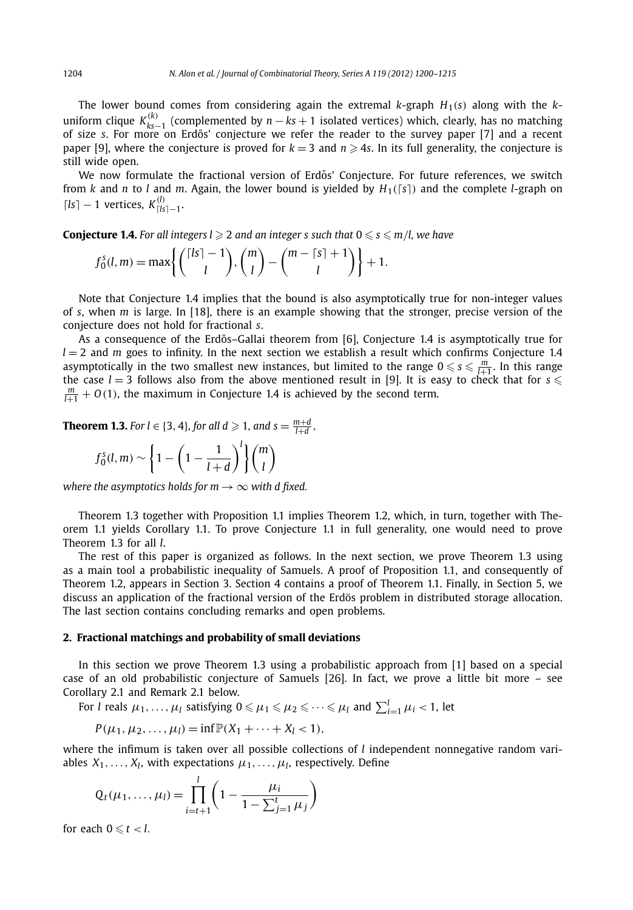The lower bound comes from considering again the extremal  $k$ -graph  $H_1(s)$  along with the  $k$ uniform clique  $K_{ks-1}^{(k)}$  (complemented by  $n - ks + 1$  isolated vertices) which, clearly, has no matching of size *s*. For more on Erdos' conjecture we refer the reader to the survey paper [7] and a recent ˝ paper [9], where the conjecture is proved for  $k = 3$  and  $n \ge 4s$ . In its full generality, the conjecture is still wide open.

We now formulate the fractional version of Erdős' Conjecture. For future references, we switch from *k* and *n* to *l* and *m*. Again, the lower bound is yielded by  $H_1([s])$  and the complete *l*-graph on  $\lceil l s \rceil - 1$  vertices,  $K^{(l)}_{\lceil l s \rceil - 1}$ .

**Conjecture 1.4.** For all integers l  $\geqslant$  2 and an integer s such that  $0 \leqslant s \leqslant m/l$ , we have

$$
f_0^s(l,m) = \max\left\{ \binom{\lceil ls \rceil - 1}{l}, \binom{m}{l} - \binom{m - \lceil s \rceil + 1}{l} \right\} + 1.
$$

Note that Conjecture 1.4 implies that the bound is also asymptotically true for non-integer values of *s*, when *m* is large. In [18], there is an example showing that the stronger, precise version of the conjecture does not hold for fractional *s*.

As a consequence of the Erdős–Gallai theorem from [6], Conjecture 1.4 is asymptotically true for  $l = 2$  and *m* goes to infinity. In the next section we establish a result which confirms Conjecture 1.4 asymptotically in the two smallest new instances, but limited to the range  $0 \le s \le \frac{m}{l+1}$ . In this range the case  $l = 3$  follows also from the above mentioned result in [9]. It is easy to check that for  $s \leq$  $\frac{m}{l+1}$  + *O*(1), the maximum in Conjecture 1.4 is achieved by the second term.

**Theorem 1.3.** For  $l \in \{3, 4\}$ , for all  $d \geqslant 1$ , and  $s = \frac{m+d}{l+d}$ ,

$$
f_0^s(l,m) \sim \left\{1 - \left(1 - \frac{1}{l+d}\right)^l\right\} \binom{m}{l}
$$

*where the asymptotics holds for m*  $\rightarrow \infty$  *with d fixed.* 

Theorem 1.3 together with Proposition 1.1 implies Theorem 1.2, which, in turn, together with Theorem 1.1 yields Corollary 1.1. To prove Conjecture 1.1 in full generality, one would need to prove Theorem 1.3 for all *l*.

The rest of this paper is organized as follows. In the next section, we prove Theorem 1.3 using as a main tool a probabilistic inequality of Samuels. A proof of Proposition 1.1, and consequently of Theorem 1.2, appears in Section 3. Section 4 contains a proof of Theorem 1.1. Finally, in Section 5, we discuss an application of the fractional version of the Erdös problem in distributed storage allocation. The last section contains concluding remarks and open problems.

#### **2. Fractional matchings and probability of small deviations**

In this section we prove Theorem 1.3 using a probabilistic approach from [1] based on a special case of an old probabilistic conjecture of Samuels [26]. In fact, we prove a little bit more – see Corollary 2.1 and Remark 2.1 below.

For *l* reals  $\mu_1,\ldots,\mu_l$  satisfying  $0\leqslant\mu_1\leqslant\mu_2\leqslant\cdots\leqslant\mu_l$  and  $\sum_{i=1}^l\mu_i< 1$ , let

$$
P(\mu_1, \mu_2, \dots, \mu_l) = \inf \mathbb{P}(X_1 + \dots + X_l < 1),
$$

where the infimum is taken over all possible collections of *l* independent nonnegative random variables  $X_1, \ldots, X_l$ , with expectations  $\mu_1, \ldots, \mu_l$ , respectively. Define

$$
Q_t(\mu_1, ..., \mu_l) = \prod_{i=t+1}^l \left(1 - \frac{\mu_i}{1 - \sum_{j=1}^t \mu_j}\right)
$$

for each  $0 \leq t < l$ .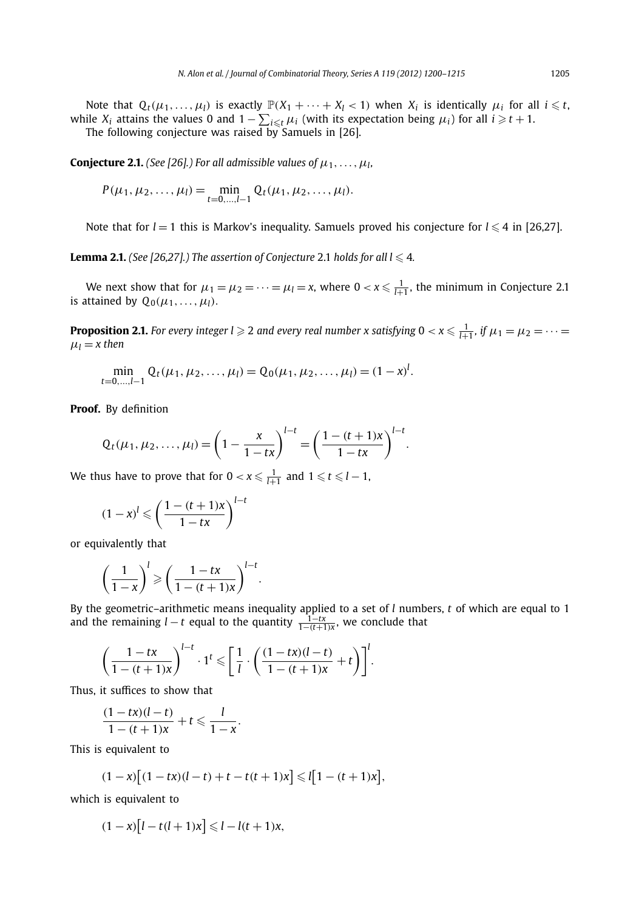Note that  $Q_t(\mu_1,\ldots,\mu_l)$  is exactly  $\mathbb{P}(X_1+\cdots+X_l<1)$  when  $X_i$  is identically  $\mu_i$  for all  $i\leq t$ , while  $X_i$  attains the values 0 and  $1 - \sum_{i \leq t} \mu_i$  (with its expectation being  $\mu_i$ ) for all  $i \geq t + 1$ . The following conjecture was raised by Samuels in [26].

**Conjecture 2.1.** *(See [26].) For all admissible values of*  $\mu_1, \ldots, \mu_l$ *,* 

$$
P(\mu_1, \mu_2, \ldots, \mu_l) = \min_{t=0,\ldots,l-1} Q_t(\mu_1, \mu_2, \ldots, \mu_l).
$$

Note that for  $l = 1$  this is Markov's inequality. Samuels proved his conjecture for  $l \leq 4$  in [26,27].

**Lemma 2.1.** (See [26,27].) The assertion of Conjecture 2.1 holds for all  $l \leq 4$ .

We next show that for  $\mu_1 = \mu_2 = \cdots = \mu_l = x$ , where  $0 < x \leq \frac{1}{l+1}$ , the minimum in Conjecture 2.1 is attained by  $Q_0(\mu_1, \ldots, \mu_l)$ .

**Proposition 2.1.** For every integer  $l \geqslant 2$  and every real number x satisfying  $0 < x \leqslant \frac{1}{l+1}$ , if  $\mu_1 = \mu_2 = \cdots =$  $\mu_l = x$  then

$$
\min_{t=0,\dots,l-1} Q_t(\mu_1,\mu_2,\dots,\mu_l) = Q_0(\mu_1,\mu_2,\dots,\mu_l) = (1-x)^l.
$$

**Proof.** By definition

$$
Q_t(\mu_1, \mu_2, \ldots, \mu_l) = \left(1 - \frac{x}{1 - tx}\right)^{l - t} = \left(\frac{1 - (t + 1)x}{1 - tx}\right)^{l - t}.
$$

We thus have to prove that for  $0 < x \leqslant \frac{1}{l+1}$  and  $1 \leqslant t \leqslant l-1$ ,

$$
(1-x)^{l} \leqslant \left(\frac{1-(t+1)x}{1-tx}\right)^{l-t}
$$

or equivalently that

$$
\left(\frac{1}{1-x}\right)^l \geqslant \left(\frac{1-tx}{1-(t+1)x}\right)^{l-t}.
$$

By the geometric–arithmetic means inequality applied to a set of *l* numbers, *t* of which are equal to 1 and the remaining *l* — *t* equal to the quantity  $\frac{1-tx}{1-(t+1)x}$ , we conclude that

$$
\left(\frac{1-tx}{1-(t+1)x}\right)^{l-t} \cdot 1^t \leqslant \left[\frac{1}{l} \cdot \left(\frac{(1-tx)(l-t)}{1-(t+1)x} + t\right)\right]^l.
$$

Thus, it suffices to show that

$$
\frac{(1-tx)(l-t)}{1-(t+1)x}+t\leqslant\frac{l}{1-x}.
$$

This is equivalent to

$$
(1-x)[(1-tx)(l-t)+t-t(t+1)x] \leq l[1-(t+1)x],
$$

which is equivalent to

$$
(1-x)[l-t(l+1)x] \leq l-l(t+1)x,
$$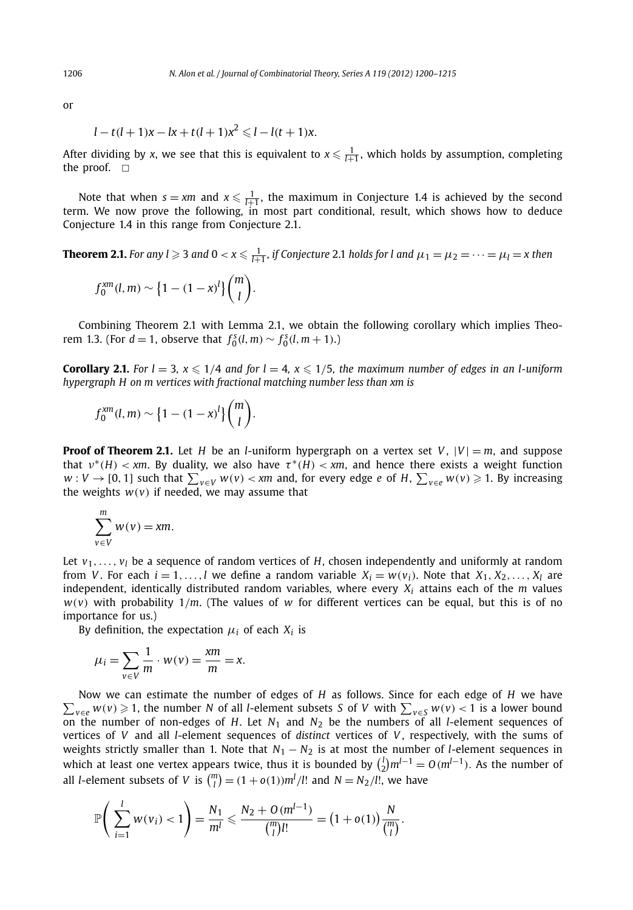or

$$
l - t(l+1)x - lx + t(l+1)x^2 \leq l - l(t+1)x.
$$

After dividing by *x*, we see that this is equivalent to  $x \le \frac{1}{l+1}$ , which holds by assumption, completing the proof.  $\square$ 

Note that when  $s = xm$  and  $x \leq \frac{1}{l+1}$ , the maximum in Conjecture 1.4 is achieved by the second term. We now prove the following, in most part conditional, result, which shows how to deduce Conjecture 1.4 in this range from Conjecture 2.1.

**Theorem 2.1.** For any l  $\geqslant$  3 and 0  $<$  x  $\leqslant$   $\frac{1}{l+1}$ , if Conjecture 2.1 holds for l and  $\mu_1 = \mu_2 = \cdots = \mu_l =$  x then

$$
f_0^{xm}(l,m) \sim \left\{1-(1-x)^l\right\}\binom{m}{l}.
$$

Combining Theorem 2.1 with Lemma 2.1, we obtain the following corollary which implies Theorem 1.3. (For *d* = 1, observe that  $f_0^s(l,m) \sim f_0^s(l,m+1)$ .)

**Corollary 2.1.** *For l* = 3,  $x \le 1/4$  *and for l* = 4,  $x \le 1/5$ *, the maximum number of edges in an l-uniform hypergraph H on m vertices with fractional matching number less than xm is*

$$
f_0^{xm}(l,m) \sim \left\{1-(1-x)^l\right\}\binom{m}{l}.
$$

**Proof of Theorem 2.1.** Let *H* be an *l*-uniform hypergraph on a vertex set *V*,  $|V| = m$ , and suppose that  $v^*(H) < x$ m. By duality, we also have  $\tau^*(H) < x$ m, and hence there exists a weight function  $w: V \to [0,1]$  such that  $\sum_{v \in V} w(v) < xm$  and, for every edge *e* of *H*,  $\sum_{v \in e} w(v) \geqslant 1$ . By increasing the weights  $w(v)$  if needed, we may assume that

$$
\sum_{v \in V}^{m} w(v) = \mathbf{x}m.
$$

Let  $v_1, \ldots, v_l$  be a sequence of random vertices of *H*, chosen independently and uniformly at random from *V*. For each  $i = 1, \ldots, l$  we define a random variable  $X_i = w(v_i)$ . Note that  $X_1, X_2, \ldots, X_l$  are independent, identically distributed random variables, where every *Xi* attains each of the *m* values  $w(v)$  with probability  $1/m$ . (The values of *w* for different vertices can be equal, but this is of no importance for us.)

By definition, the expectation  $\mu_i$  of each  $X_i$  is

$$
\mu_i = \sum_{v \in V} \frac{1}{m} \cdot w(v) = \frac{xm}{m} = x.
$$

 $\sum_{v \in e} w(v) \geqslant 1$ , the number *N* of all *l*-element subsets *S* of *V* with  $\sum_{v \in S} w(v) < 1$  is a lower bound Now we can estimate the number of edges of *H* as follows. Since for each edge of *H* we have on the number of non-edges of *H*. Let  $N_1$  and  $N_2$  be the numbers of all *l*-element sequences of vertices of *V* and all *l*-element sequences of *distinct* vertices of *V* , respectively, with the sums of weights strictly smaller than 1. Note that  $N_1 - N_2$  is at most the number of *l*-element sequences in which at least one vertex appears twice, thus it is bounded by  $\binom{l}{2}m^{l-1} = O(m^{l-1})$ . As the number of all *l*-element subsets of *V* is  $\binom{m}{l} = (1 + o(1))m^l/l!$  and  $N = N_2/l!$ , we have

$$
\mathbb{P}\bigg(\sum_{i=1}^{l} w(v_i) < 1\bigg) = \frac{N_1}{m^l} \leqslant \frac{N_2 + O(m^{l-1})}{\binom{m}{l}l!} = \big(1 + o(1)\big)\frac{N}{\binom{m}{l}}.
$$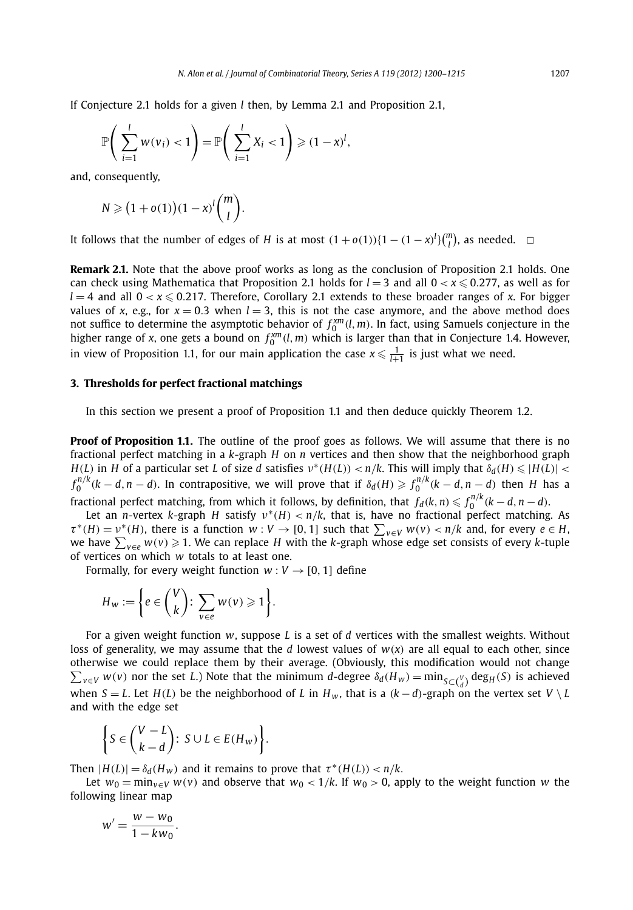If Conjecture 2.1 holds for a given *l* then, by Lemma 2.1 and Proposition 2.1,

$$
\mathbb{P}\bigg(\sum_{i=1}^l w(v_i) < 1\bigg) = \mathbb{P}\bigg(\sum_{i=1}^l X_i < 1\bigg) \geqslant (1-x)^l,
$$

and, consequently,

$$
N \geqslant (1+o(1))(1-x)^l \binom{m}{l}.
$$

It follows that the number of edges of *H* is at most  $(1 + o(1))\{1 - (1 - x)^l\}\binom{m}{l}$ , as needed.  $\Box$ 

**Remark 2.1.** Note that the above proof works as long as the conclusion of Proposition 2.1 holds. One can check using Mathematica that Proposition 2.1 holds for  $l = 3$  and all  $0 < x \leqslant 0.277$ , as well as for  $l = 4$  and all  $0 < x \leqslant 0.217$ . Therefore, Corollary 2.1 extends to these broader ranges of *x*. For bigger values of *x*, e.g., for  $x = 0.3$  when  $l = 3$ , this is not the case anymore, and the above method does not suffice to determine the asymptotic behavior of  $f_0^{xm}(l,m)$ . In fact, using Samuels conjecture in the higher range of *x*, one gets a bound on  $f_0^{xm}(l,m)$  which is larger than that in Conjecture 1.4. However, in view of Proposition 1.1, for our main application the case  $x \leqslant \frac{1}{l+1}$  is just what we need.

#### **3. Thresholds for perfect fractional matchings**

In this section we present a proof of Proposition 1.1 and then deduce quickly Theorem 1.2.

**Proof of Proposition 1.1.** The outline of the proof goes as follows. We will assume that there is no fractional perfect matching in a *k*-graph *H* on *n* vertices and then show that the neighborhood graph  $H(L)$  in H of a particular set L of size d satisfies  $v^*(H(L)) < n/k$ . This will imply that  $\delta_d(H) \leq |H(L)| <$  $f_0^{n/k}(k-d, n-d)$ . In contrapositive, we will prove that if  $\delta_d(H) \geq f_0^{n/k}(k-d, n-d)$  then H has a fractional perfect matching, from which it follows, by definition, that  $f_d(k,n) \leqslant f_0^{n/k} (k-d,n-d)$ .

Let an *n*-vertex *k*-graph *H* satisfy *ν*<sup>∗</sup>*(H) < n/k*, that is, have no fractional perfect matching. As  $\tau^*(H) = \nu^*(H)$ , there is a function  $w: V \to [0, 1]$  such that  $\sum_{v \in V} w(v) < n/k$  and, for every  $e \in H$ , we have *<sup>v</sup>*∈*<sup>e</sup> w(v)* 1. We can replace *H* with the *k*-graph whose edge set consists of every *k*-tuple of vertices on which *w* totals to at least one.

Formally, for every weight function  $w: V \rightarrow [0, 1]$  define

$$
H_w := \bigg\{ e \in \binom{V}{k} \colon \sum_{v \in e} w(v) \geqslant 1 \bigg\}.
$$

For a given weight function *w*, suppose *L* is a set of *d* vertices with the smallest weights. Without loss of generality, we may assume that the *d* lowest values of  $w(x)$  are all equal to each other, since otherwise we could replace them by their average. (Obviously, this modification would not change  $\sum_{v\in V} w(v)$  nor the set L.) Note that the minimum d-degree  $\delta_d(H_w) = \min_{S\subset {V \choose d}} \deg_H(S)$  is achieved when *S* = *L*. Let *H*(*L*) be the neighborhood of *L* in  $H_w$ , that is a  $(k-d)$ -graph on the vertex set  $V \setminus L$ and with the edge set

$$
\left\{S \in \binom{V-L}{k-d}: S \cup L \in E(H_w)\right\}.
$$

Then  $|H(L)| = \delta_d(H_w)$  and it remains to prove that  $\tau^*(H(L)) < n/k$ .

Let  $w_0 = \min_{v \in V} w(v)$  and observe that  $w_0 < 1/k$ . If  $w_0 > 0$ , apply to the weight function *w* the following linear map

$$
w'=\frac{w-w_0}{1-kw_0}.
$$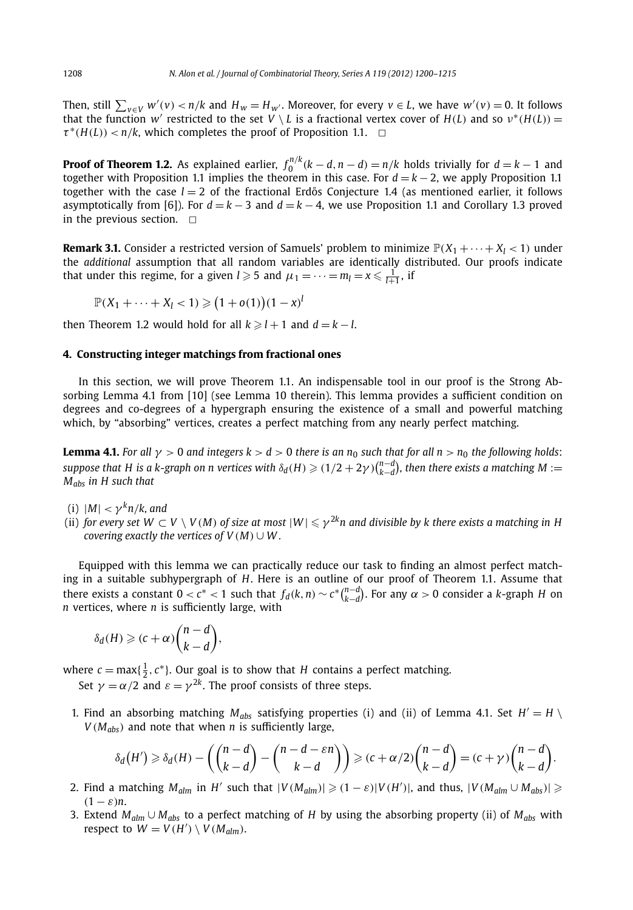Then, still  $\sum_{v \in V} w'(v) < n/k$  and  $H_w = H_{w'}$ . Moreover, for every  $v \in L$ , we have  $w'(v) = 0$ . It follows that the function *w'* restricted to the set  $V \setminus L$  is a fractional vertex cover of  $H(L)$  and so  $v^*(H(L)) =$  $\tau^*(H(L)) < n/k$ , which completes the proof of Proposition 1.1.  $\Box$ 

**Proof of Theorem 1.2.** As explained earlier,  $f_0^{n/k}$   $(k - d, n - d) = n/k$  holds trivially for  $d = k - 1$  and together with Proposition 1.1 implies the theorem in this case. For  $d = k - 2$ , we apply Proposition 1.1 together with the case  $l = 2$  of the fractional Erdős Conjecture 1.4 (as mentioned earlier, it follows asymptotically from [6]). For  $d = k - 3$  and  $d = k - 4$ , we use Proposition 1.1 and Corollary 1.3 proved in the previous section.  $\Box$ 

**Remark 3.1.** Consider a restricted version of Samuels' problem to minimize  $\mathbb{P}(X_1 + \cdots + X_l < 1)$  under the *additional* assumption that all random variables are identically distributed. Our proofs indicate that under this regime, for a given  $l \geqslant 5$  and  $\mu_1 = \cdots = m_l = x \leqslant \frac{1}{l+1}$ , if

 $\mathbb{P}(X_1 + \cdots + X_l < 1) \geqslant (1 + o(1))(1 - x)^l$ 

then Theorem 1.2 would hold for all  $k \ge l + 1$  and  $d = k - l$ .

#### **4. Constructing integer matchings from fractional ones**

In this section, we will prove Theorem 1.1. An indispensable tool in our proof is the Strong Absorbing Lemma 4.1 from [10] (see Lemma 10 therein). This lemma provides a sufficient condition on degrees and co-degrees of a hypergraph ensuring the existence of a small and powerful matching which, by "absorbing" vertices, creates a perfect matching from any nearly perfect matching.

**Lemma 4.1.** For all  $\gamma > 0$  and integers  $k > d > 0$  there is an  $n_0$  such that for all  $n > n_0$  the following holds: *suppose that H is a k-graph on n vertices with*  $\delta_d(H) \geqslant (1/2+2\gamma){n-d \choose k-d}$ *, then there exists a matching M := Mabs in H such that*

- (i)  $|M| < \gamma^k n/k$ , and
- (ii) *for every set W*  $\subset$  *V*  $\setminus$  *V(M) of size at most*  $|W|$  $\leqslant$  $\gamma^{2k}$ *n and divisible by k there exists a matching in H covering exactly the vertices of*  $V(M) \cup W$ *.*

Equipped with this lemma we can practically reduce our task to finding an almost perfect matching in a suitable subhypergraph of *H*. Here is an outline of our proof of Theorem 1.1. Assume that there exists a constant  $0 < c^* < 1$  such that  $f_d(k, n) \sim c^* {n-d \choose k-d}$ . For any  $\alpha > 0$  consider a k-graph H on *n* vertices, where *n* is sufficiently large, with

$$
\delta_d(H) \geqslant (c+\alpha)\binom{n-d}{k-d},
$$

where  $c = \max\{\frac{1}{2}, c^*\}$ . Our goal is to show that *H* contains a perfect matching.

Set  $\gamma = \alpha/2$  and  $\varepsilon = \gamma^{2k}$ . The proof consists of three steps.

1. Find an absorbing matching  $M_{abs}$  satisfying properties (i) and (ii) of Lemma 4.1. Set  $H' = H \setminus$  $V(M_{abs})$  and note that when *n* is sufficiently large,

$$
\delta_d(H') \geq \delta_d(H) - \left(\binom{n-d}{k-d} - \binom{n-d-\varepsilon n}{k-d}\right) \geq (c+\alpha/2)\binom{n-d}{k-d} = (c+\gamma)\binom{n-d}{k-d}.
$$

- 2. Find a matching  $M_{alm}$  in  $H'$  such that  $|V(M_{alm})| \geq (1 \varepsilon)|V(H')|$ , and thus,  $|V(M_{alm} \cup M_{abs})| \geq$  $(1 - \varepsilon)n$ .
- 3. Extend *Malm* ∪ *Mabs* to a perfect matching of *H* by using the absorbing property (ii) of *Mabs* with respect to  $W = V(H') \setminus V(M_{\text{alm}})$ .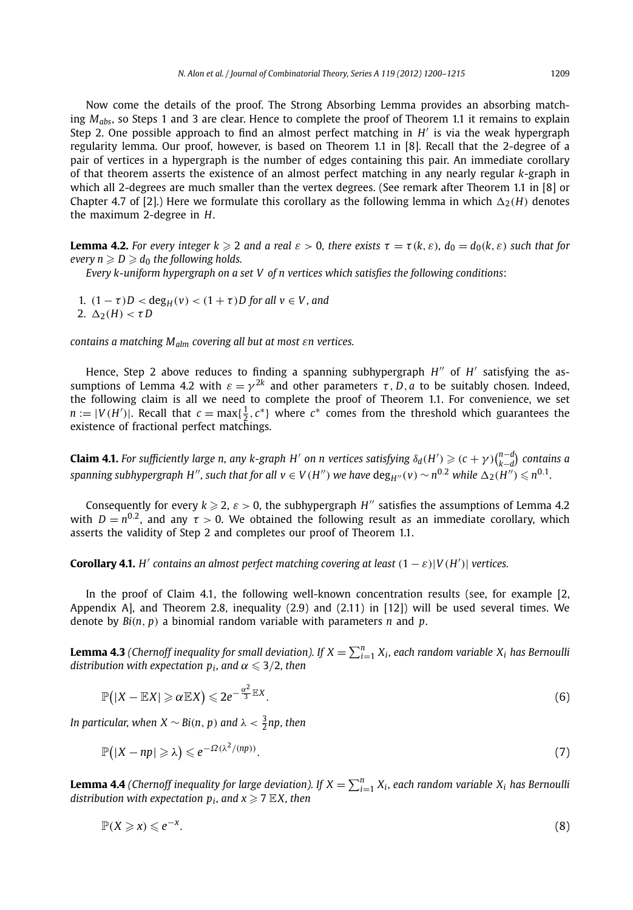Now come the details of the proof. The Strong Absorbing Lemma provides an absorbing matching *Mabs*, so Steps 1 and 3 are clear. Hence to complete the proof of Theorem 1.1 it remains to explain Step 2. One possible approach to find an almost perfect matching in *H* is via the weak hypergraph regularity lemma. Our proof, however, is based on Theorem 1.1 in [8]. Recall that the 2-degree of a pair of vertices in a hypergraph is the number of edges containing this pair. An immediate corollary of that theorem asserts the existence of an almost perfect matching in any nearly regular *k*-graph in which all 2-degrees are much smaller than the vertex degrees. (See remark after Theorem 1.1 in [8] or Chapter 4.7 of [2].) Here we formulate this corollary as the following lemma in which  $\Delta_2(H)$  denotes the maximum 2-degree in *H*.

**Lemma 4.2.** For every integer  $k \ge 2$  and a real  $\varepsilon > 0$ , there exists  $\tau = \tau(k, \varepsilon)$ ,  $d_0 = d_0(k, \varepsilon)$  such that for *every*  $n \ge D \ge d_0$  *the following holds.* 

*Every k-uniform hypergraph on a set V of n vertices which satisfies the following conditions*:

1.  $(1 - \tau)D < deg_H(v) < (1 + \tau)D$  for all  $v \in V$ , and 2.  $Δ_2(H) < τD$ 

*contains a matching Malm covering all but at most εn vertices.*

Hence, Step 2 above reduces to finding a spanning subhypergraph *H*<sup>*n*</sup> of *H*<sup>*'*</sup> satisfying the assumptions of Lemma 4.2 with  $\varepsilon = \gamma^{2k}$  and other parameters  $\tau$ , *D*, *a* to be suitably chosen. Indeed, the following claim is all we need to complete the proof of Theorem 1.1. For convenience, we set  $n := |V(H')|$ . Recall that  $c = \max\{\frac{1}{2}, c^*\}$  where  $c^*$  comes from the threshold which guarantees the existence of fractional perfect matchings.

**Claim 4.1.** For sufficiently large n, any k-graph H' on n vertices satisfying  $\delta_d(H')\geqslant (c+\gamma)\binom{n-d}{k-d}$  contains a spanning subhypergraph H'', such that for all  $v\in V(H'')$  we have  $\deg_{H''}(v)\sim n^{0.2}$  while  $\Delta_2(H'')\leqslant n^{0.1}.$ 

Consequently for every  $k \ge 2$ ,  $\varepsilon > 0$ , the subhypergraph *H*<sup>*n*</sup> satisfies the assumptions of Lemma 4.2 with  $D = n^{0.2}$ , and any  $\tau > 0$ . We obtained the following result as an immediate corollary, which asserts the validity of Step 2 and completes our proof of Theorem 1.1.

**Corollary 4.1.** *H'* contains an almost perfect matching covering at least  $(1 - \varepsilon)|V(H')|$  vertices.

In the proof of Claim 4.1, the following well-known concentration results (see, for example [2, Appendix A], and Theorem 2.8, inequality (2.9) and (2.11) in [12]) will be used several times. We denote by *Bi(n, p)* a binomial random variable with parameters *n* and *p*.

**Lemma 4.3** (Chernoff inequality for small deviation). If  $X = \sum_{i=1}^n X_i$ , each random variable  $X_i$  has Bernoulli  $distribution$  with expectation  $p_i$ , and  $\alpha \leqslant 3/2$ , then

$$
\mathbb{P}(|X - \mathbb{E}X| \geq \alpha \mathbb{E}X) \leq 2e^{-\frac{\alpha^2}{3}\mathbb{E}X}.
$$
 (6)

*In particular, when X*  $\sim$  *Bi*(*n*, *p*) *and*  $\lambda < \frac{3}{2}$ *np, then* 

$$
\mathbb{P}\big(|X - np| \geq \lambda\big) \leqslant e^{-\Omega(\lambda^2/(np))}.\tag{7}
$$

**Lemma 4.4** (Chernoff inequality for large deviation). If  $X = \sum_{i=1}^{n} X_i$ , each random variable  $X_i$  has Bernoulli *distribution with expectation*  $p_i$ *, and*  $x \ge 7$  *EX, then* 

$$
\mathbb{P}(X \geqslant x) \leqslant e^{-x}.\tag{8}
$$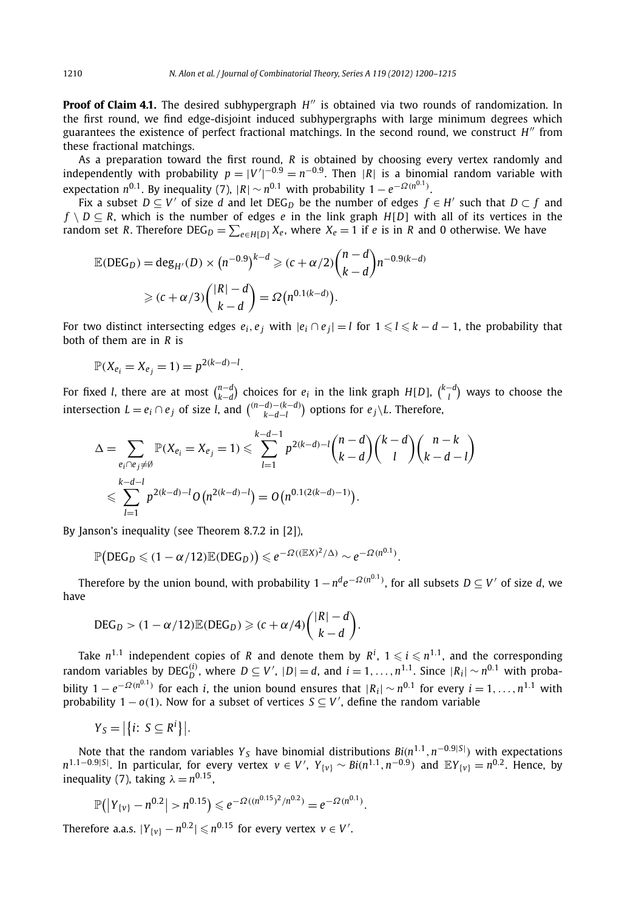**Proof of Claim 4.1.** The desired subhypergraph H'' is obtained via two rounds of randomization. In the first round, we find edge-disjoint induced subhypergraphs with large minimum degrees which guarantees the existence of perfect fractional matchings. In the second round, we construct *H* from these fractional matchings.

As a preparation toward the first round, *R* is obtained by choosing every vertex randomly and independently with probability  $p = |V'|^{-0.9} = n^{-0.9}$ . Then  $|R|$  is a binomial random variable with expectation  $n^{0.1}$ . By inequality (7),  $|R| \sim n^{0.1}$  with probability  $1 - e^{-\Omega(n^{0.1})}$ .

Fix a subset  $D \subseteq V'$  of size *d* and let DEG<sub>*D*</sub> be the number of edges  $f \in H'$  such that  $D \subset f$  and  $f \setminus D \subseteq R$ , which is the number of edges *e* in the link graph *H*[*D*] with all of its vertices in the random set *R*. Therefore DEG $_D = \sum_{e \in H[D]} X_e$ , where  $X_e = 1$  if *e* is in *R* and 0 otherwise. We have

$$
\mathbb{E}(\text{DEG}_D) = \deg_{H'}(D) \times (n^{-0.9})^{k-d} \ge (c + \alpha/2) {n - d \choose k - d} n^{-0.9(k - d)}
$$
  
 
$$
\ge (c + \alpha/3) { |R| - d \choose k - d} = \Omega(n^{0.1(k - d)}).
$$

For two distinct intersecting edges  $e_i,e_j$  with  $|e_i\cap e_j|=l$  for  $1\leqslant l\leqslant k-d-1,$  the probability that both of them are in *R* is

$$
\mathbb{P}(X_{e_i} = X_{e_j} = 1) = p^{2(k-d)-l}.
$$

For fixed *l*, there are at most  $\binom{n-d}{k-d}$  choices for  $e_i$  in the link graph  $H[D]$ ,  $\binom{k-d}{l}$  ways to choose the intersection  $L = e_i ∩ e_j$  of size *l*, and  $\binom{(n-d)-(k-d)}{k-d-l}$  options for  $e_j \setminus L$ . Therefore,

$$
\Delta = \sum_{e_i \cap e_j \neq \emptyset} \mathbb{P}(X_{e_i} = X_{e_j} = 1) \leqslant \sum_{l=1}^{k-d-1} p^{2(k-d)-l} \binom{n-d}{k-d} \binom{k-d}{l} \binom{n-k}{k-d-l}
$$
  

$$
\leqslant \sum_{l=1}^{k-d-l} p^{2(k-d)-l} O(n^{2(k-d)-l}) = O(n^{0.1(2(k-d)-1)}).
$$

By Janson's inequality (see Theorem 8.7.2 in [2]),

$$
\mathbb{P}\big(\text{DEG}_D \leqslant (1 - \alpha/12)\mathbb{E}(\text{DEG}_D)\big) \leqslant e^{-\Omega((\mathbb{E}X)^2/\Delta)} \sim e^{-\Omega(n^{0.1})}.
$$

Therefore by the union bound, with probability 1−*nde*<sup>−</sup>*Ω(n*0*.*1*)* , for all subsets *D* ⊆ *V* of size *d*, we have

$$
\text{DEG}_D > (1 - \alpha/12) \mathbb{E}(\text{DEG}_D) \geqslant (c + \alpha/4) \binom{|R| - d}{k - d}.
$$

Take  $n^{1.1}$  independent copies of *R* and denote them by  $R^i$ ,  $1 \leqslant i \leqslant n^{1.1}$ , and the corresponding random variables by DEG<sup>(*i*</sup>)</sub>, where  $D \subseteq V'$ ,  $|D| = d$ , and  $i = 1, ..., n^{1.1}$ . Since  $|R_i| \sim n^{0.1}$  with probability  $1 - e^{-\Omega(n^{0.1})}$  for each *i*, the union bound ensures that  $|R_i| \sim n^{0.1}$  for every  $i = 1, \ldots, n^{1.1}$  with probability 1 –  $o(1)$ . Now for a subset of vertices  $S ⊆ V'$ , define the random variable

$$
Y_S = |\{i: S \subseteq R^i\}|.
$$

Note that the random variables *<sup>Y</sup> <sup>S</sup>* have binomial distributions *Bi(n*1*.*<sup>1</sup>*,n*−0*.*9|*S*<sup>|</sup> *)* with expectations  $n^{1.1-0.9|S|}$ . In particular, for every vertex  $v \in V'$ ,  $Y_{\{v\}} \sim Bi(n^{1.1},n^{-0.9})$  and  ${\mathbb E} Y_{\{v\}} = n^{0.2}$ . Hence, by inequality (7), taking  $\lambda = n^{0.15}$ ,

$$
\mathbb{P}(|Y_{\{v\}} - n^{0.2}| > n^{0.15}) \leq e^{-\Omega((n^{0.15})^2/n^{0.2})} = e^{-\Omega(n^{0.1})}.
$$

Therefore a.a.s.  $|Y_{\{v\}} - n^{0.2}| \leqslant n^{0.15}$  for every vertex  $v \in V'.$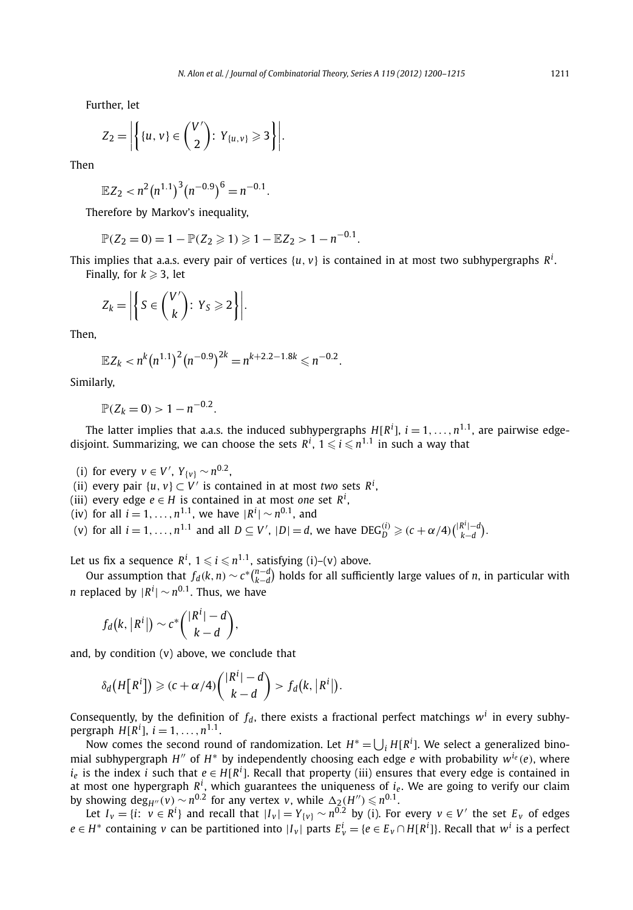Further, let

$$
Z_2=\left|\left\{\{u,v\}\in\binom{V'}{2}\colon Y_{\{u,v\}}\geqslant 3\right\}\right|.
$$

Then

$$
\mathbb{E}Z_2 < n^2 \left( n^{1.1} \right)^3 \left( n^{-0.9} \right)^6 = n^{-0.1}.
$$

Therefore by Markov's inequality,

$$
\mathbb{P}(Z_2=0)=1-\mathbb{P}(Z_2\geqslant 1)\geqslant 1-\mathbb{E}Z_2>1-n^{-0.1}.
$$

This implies that a.a.s. every pair of vertices {*u, v*} is contained in at most two subhypergraphs *R<sup>i</sup>* . Finally, for  $k \geq 3$ , let

$$
Z_k = \left| \left\{ S \in \binom{V'}{k} : Y_S \geqslant 2 \right\} \right|.
$$

Then,

$$
\mathbb{E}Z_k < n^k (n^{1.1})^2 (n^{-0.9})^{2k} = n^{k+2.2-1.8k} \leq n^{-0.2}.
$$

Similarly,

$$
\mathbb{P}(Z_k=0) > 1-n^{-0.2}.
$$

The latter implies that a.a.s. the induced subhypergraphs  $H[R^i]$ ,  $i = 1, \ldots, n^{1.1}$ , are pairwise edgedisjoint. Summarizing, we can choose the sets  $R^i$ ,  $1 \leqslant i \leqslant n^{1.1}$  in such a way that

(i) for every  $v \in V'$ ,  $Y_{\{v\}}$  ∼  $n^{0.2}$ ,

(ii) every pair  $\{u, v\} \subset V'$  is contained in at most *two* sets  $R^i$ ,

(iii) every edge  $e \in H$  is contained in at most *one* set  $R^i$ ,

 $(iv)$  for all  $i = 1, ..., n^{1.1}$ , we have  $|R^{i}| \sim n^{0.1}$ , and

(v) for all  $i = 1, ..., n^{1.1}$  and all  $D \subseteq V'$ ,  $|D| = d$ , we have  $DEG_D^{(i)} \ge (c + \alpha/4) {|\mathbb{R}^i| - d \choose k - d}$ .

Let us fix a sequence  $R^i$ ,  $1 \leqslant i \leqslant n^{1.1}$ , satisfying (i)–(v) above.

Our assumption that  $f_d(k,n) \sim c^*\binom{n-d}{k-d}$  holds for all sufficiently large values of *n*, in particular with  $n$  replaced by  $|R^i| \sim n^{0.1}.$  Thus, we have

$$
f_d(k, |R^i|) \sim c^* { |R^i| - d \choose k - d},
$$

and, by condition (v) above, we conclude that

$$
\delta_d\big(H\big[R^i\big]\big) \geqslant (c+\alpha/4){\binom{|R^i|-d}{k-d}} > f_d\big(k, |R^i|\big).
$$

Consequently, by the definition of  $f_d$ , there exists a fractional perfect matchings  $w^i$  in every subhypergraph  $H[R^i]$ ,  $i = 1, \ldots, n^{1.1}$ .

Now comes the second round of randomization. Let  $H^* = \bigcup_i H[R^i]$ . We select a generalized binomial subhypergraph *H<sup>n</sup>* of *H*<sup>\*</sup> by independently choosing each edge *e* with probability  $w^{i}e(e)$ , where  $i_e$  is the index *i* such that  $e \in H[R^i]$ . Recall that property (iii) ensures that every edge is contained in at most one hypergraph  $R^i$ , which guarantees the uniqueness of  $i_e$ . We are going to verify our claim by showing  $\deg_{H''}(v) \sim n^{0.2}$  for any vertex *v*, while  $\Delta_2(H'') \leq n^{0.1}$ .

Let  $I_v = \{i: v \in R^i\}$  and recall that  $|I_v| = Y_{\{v\}} \sim n^{0.2}$  by (i). For every  $v \in V'$  the set  $E_v$  of edges *e* ∈ *H*<sup>∗</sup> containing *v* can be partitioned into |*I*<sub>*v*</sub>| parts  $E_v^i = \{e \in E_v \cap H[R^i]\}$ . Recall that  $w^i$  is a perfect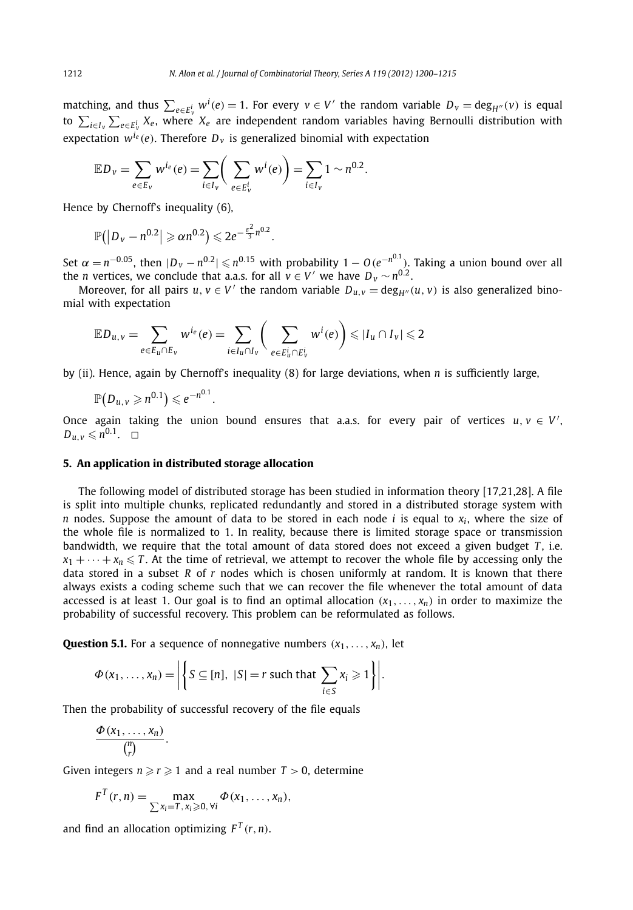matching, and thus  $\sum_{e \in E^i_v} w^i(e) = 1$ . For every  $v \in V'$  the random variable  $D_v = \deg_{H''}(v)$  is equal to  $\sum_{i\in I_{\rm v}}\sum_{e\in E_{\rm v}^i}X_e$ , where  $X_e$  are independent random variables having Bernoulli distribution with expectation  $w^{i_e}(e)$ . Therefore  $D_v$  is generalized binomial with expectation

$$
\mathbb{E} D_{v} = \sum_{e \in E_{v}} w^{i_e}(e) = \sum_{i \in I_{v}} \left( \sum_{e \in E_{v}^{i}} w^{i}(e) \right) = \sum_{i \in I_{v}} 1 \sim n^{0.2}.
$$

Hence by Chernoff's inequality (6),

$$
\mathbb{P}(|D_v - n^{0.2}| \geqslant \alpha n^{0.2}) \leqslant 2e^{-\frac{\varepsilon^2}{3}n^{0.2}}.
$$

Set  $\alpha = n^{-0.05}$ , then  $|D_v - n^{0.2}| \leqslant n^{0.15}$  with probability  $1 - O(e^{-n^{0.1}})$ . Taking a union bound over all the *n* vertices, we conclude that a.a.s. for all  $v \in V'$  we have  $D_v \sim n^{0.2}$ .

Moreover, for all pairs  $u, v \in V'$  the random variable  $D_{u,v} = \deg_{H''}(u, v)$  is also generalized binomial with expectation

$$
\mathbb{E} D_{u,v} = \sum_{e \in E_u \cap E_v} w^{i_e}(e) = \sum_{i \in I_u \cap I_v} \bigg( \sum_{e \in E_u^i \cap E_v^i} w^i(e) \bigg) \leq |I_u \cap I_v| \leq 2
$$

by (ii). Hence, again by Chernoff's inequality (8) for large deviations, when *n* is sufficiently large,

$$
\mathbb{P}(D_{u,v}\geqslant n^{0.1})\leqslant e^{-n^{0.1}}.
$$

Once again taking the union bound ensures that a.a.s. for every pair of vertices  $u, v \in V'$ ,  $D_{u,v} \leqslant n^{0.1}$ .  $\Box$ 

#### **5. An application in distributed storage allocation**

The following model of distributed storage has been studied in information theory [17,21,28]. A file is split into multiple chunks, replicated redundantly and stored in a distributed storage system with *n* nodes. Suppose the amount of data to be stored in each node *i* is equal to  $x_i$ , where the size of the whole file is normalized to 1. In reality, because there is limited storage space or transmission bandwidth, we require that the total amount of data stored does not exceed a given budget *T* , i.e.  $x_1 + \cdots + x_n \leq T$ . At the time of retrieval, we attempt to recover the whole file by accessing only the data stored in a subset *R* of *r* nodes which is chosen uniformly at random. It is known that there always exists a coding scheme such that we can recover the file whenever the total amount of data accessed is at least 1. Our goal is to find an optimal allocation  $(x_1, \ldots, x_n)$  in order to maximize the probability of successful recovery. This problem can be reformulated as follows.

**Question 5.1.** For a sequence of nonnegative numbers  $(x_1, \ldots, x_n)$ , let

$$
\Phi(x_1,\ldots,x_n)=\bigg|\bigg\{S\subseteq[n],\ |S|=r\ \text{such that}\ \sum_{i\in S}x_i\geqslant 1\bigg\}\bigg|.
$$

Then the probability of successful recovery of the file equals

$$
\frac{\Phi(x_1,\ldots,x_n)}{\binom{n}{r}}.
$$

Given integers  $n \ge r \ge 1$  and a real number  $T > 0$ , determine

$$
F^T(r,n)=\max_{\sum x_i=T,\,x_i\geqslant 0,\,\forall i}\Phi(x_1,\ldots,x_n),
$$

and find an allocation optimizing  $F^T(r, n)$ .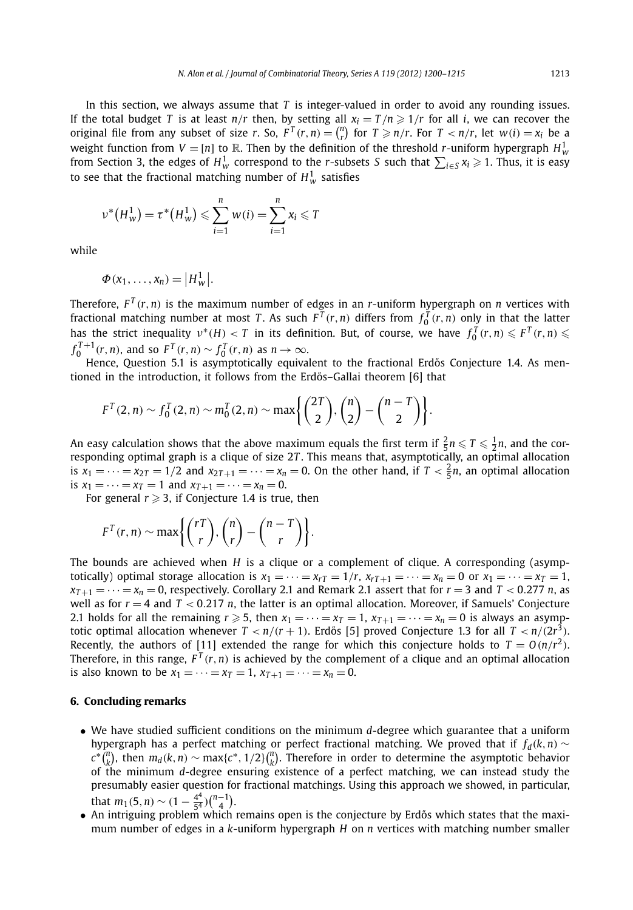In this section, we always assume that *T* is integer-valued in order to avoid any rounding issues. If the total budget *T* is at least  $n/r$  then, by setting all  $x_i = T/n \geq 1/r$  for all *i*, we can recover the original file from any subset of size r. So,  $F^T(r,n) = {n \choose r}$  for  $T \ge n/r$ . For  $T < n/r$ , let  $w(i) = x_i$  be a weight function from  $V = [n]$  to  $\mathbb R$ . Then by the definition of the threshold *r*-uniform hypergraph  $H^1_w$ from Section 3, the edges of  $H^1_w$  correspond to the *r*-subsets *S* such that  $\sum_{i\in S} x_i \geqslant 1.$  Thus, it is easy to see that the fractional matching number of  $H_w^1$  satisfies

$$
\nu^*(H_w^1) = \tau^*(H_w^1) \le \sum_{i=1}^n w(i) = \sum_{i=1}^n x_i \le T
$$

while

$$
\Phi(x_1,\ldots,x_n)=\big|H_w^1\big|.
$$

Therefore,  $F^{T}(r, n)$  is the maximum number of edges in an *r*-uniform hypergraph on *n* vertices with fractional matching number at most *T*. As such  $F^T(r, n)$  differs from  $f_0^T(r, n)$  only in that the latter has the strict inequality  $v^*(H) < T$  in its definition. But, of course, we have  $f_0^T(r,n) \leq F^T(r,n) \leq$  $f_0^{T+1}(r, n)$ , and so  $F^T(r, n) \sim f_0^T(r, n)$  as  $n \to \infty$ .

Hence, Question 5.1 is asymptotically equivalent to the fractional Erdős Conjecture 1.4. As mentioned in the introduction, it follows from the Erdős–Gallai theorem [6] that

$$
F^{T}(2, n) \sim f_0^{T}(2, n) \sim m_0^{T}(2, n) \sim \max \left\{ {2T \choose 2}, {n \choose 2} - {n - T \choose 2} \right\}.
$$

An easy calculation shows that the above maximum equals the first term if  $\frac{2}{5}n \leqslant T \leqslant \frac{1}{2}n$ , and the corresponding optimal graph is a clique of size 2*T* . This means that, asymptotically, an optimal allocation is  $x_1 = \cdots = x_{2T} = 1/2$  and  $x_{2T+1} = \cdots = x_n = 0$ . On the other hand, if  $T < \frac{2}{5}n$ , an optimal allocation is  $x_1 = \cdots = x_T = 1$  and  $x_{T+1} = \cdots = x_n = 0$ .

For general  $r \geq 3$ , if Conjecture 1.4 is true, then

$$
F^{T}(r,n) \sim \max\left\{ {rT \choose r}, {n \choose r} - {n - T \choose r} \right\}.
$$

The bounds are achieved when *H* is a clique or a complement of clique. A corresponding (asymptotically) optimal storage allocation is  $x_1 = \cdots = x_r = 1/r$ ,  $x_{rT+1} = \cdots = x_n = 0$  or  $x_1 = \cdots = x_T = 1$ ,  $x_{T+1} = \cdots = x_n = 0$ , respectively. Corollary 2.1 and Remark 2.1 assert that for  $r = 3$  and  $T < 0.277$  *n*, as well as for *r* = 4 and *T <* 0*.*217 *n*, the latter is an optimal allocation. Moreover, if Samuels' Conjecture 2.1 holds for all the remaining  $r \ge 5$ , then  $x_1 = \cdots = x_T = 1$ ,  $x_{T+1} = \cdots = x_n = 0$  is always an asymptotic optimal allocation whenever  $T < n/(r + 1)$ . Erdős [5] proved Conjecture 1.3 for all  $T < n/(2r^3)$ . Recently, the authors of [11] extended the range for which this conjecture holds to  $T = O(n/r^2)$ . Therefore, in this range,  $F^{T}(r, n)$  is achieved by the complement of a clique and an optimal allocation is also known to be  $x_1 = \cdots = x_T = 1$ ,  $x_{T+1} = \cdots = x_n = 0$ .

#### **6. Concluding remarks**

- We have studied sufficient conditions on the minimum *d*-degree which guarantee that a uniform hypergraph has a perfect matching or perfect fractional matching. We proved that if  $f_d(k, n) \sim$  $c^*(\binom{n}{k}$ , then  $m_d(k, n) \sim \max\{c^*, 1/2\}(\binom{n}{k}$ . Therefore in order to determine the asymptotic behavior of the minimum *d*-degree ensuring existence of a perfect matching, we can instead study the presumably easier question for fractional matchings. Using this approach we showed, in particular, that  $m_1(5, n) \sim (1 - \frac{4^4}{5^4}) {n-1 \choose 4}.$
- An intriguing problem which remains open is the conjecture by Erdős which states that the maximum number of edges in a *k*-uniform hypergraph *H* on *n* vertices with matching number smaller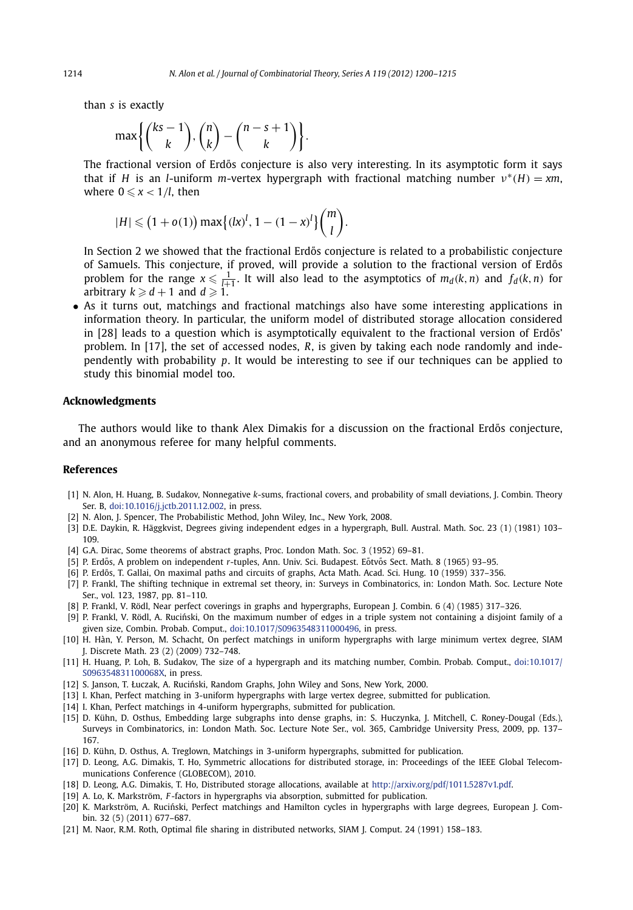than *s* is exactly

$$
\max\left\{\binom{ks-1}{k},\binom{n}{k}-\binom{n-s+1}{k}\right\}.
$$

The fractional version of Erdős conjecture is also very interesting. In its asymptotic form it says that if *H* is an *l*-uniform *m*-vertex hypergraph with fractional matching number *ν*<sup>∗</sup>*(H)* = *xm*, where  $0 \leqslant x < 1/l$ , then

$$
|H| \leq (1 + o(1)) \max \{(lx)^l, 1 - (1 - x)^l\} {m \choose l}.
$$

In Section 2 we showed that the fractional Erdős conjecture is related to a probabilistic conjecture of Samuels. This conjecture, if proved, will provide a solution to the fractional version of Erdős problem for the range  $x \le \frac{1}{l+1}$ . It will also lead to the asymptotics of  $m_d(k, n)$  and  $f_d(k, n)$  for arbitrary  $k \ge d + 1$  and  $d \ge 1$ .

• As it turns out, matchings and fractional matchings also have some interesting applications in information theory. In particular, the uniform model of distributed storage allocation considered in [28] leads to a question which is asymptotically equivalent to the fractional version of Erdős' problem. In [17], the set of accessed nodes, *R*, is given by taking each node randomly and independently with probability *p*. It would be interesting to see if our techniques can be applied to study this binomial model too.

#### **Acknowledgments**

The authors would like to thank Alex Dimakis for a discussion on the fractional Erdős conjecture, and an anonymous referee for many helpful comments.

#### **References**

- [1] N. Alon, H. Huang, B. Sudakov, Nonnegative *k*-sums, fractional covers, and probability of small deviations, J. Combin. Theory Ser. B, [doi:10.1016/j.jctb.2011.12.002](http://dx.doi.org/10.1016/j.jctb.2011.12.002), in press.
- [2] N. Alon, J. Spencer, The Probabilistic Method, John Wiley, Inc., New York, 2008.
- [3] D.E. Daykin, R. Häggkvist, Degrees giving independent edges in a hypergraph, Bull. Austral. Math. Soc. 23 (1) (1981) 103– 109.
- [4] G.A. Dirac, Some theorems of abstract graphs, Proc. London Math. Soc. 3 (1952) 69–81.
- [5] P. Erdős, A problem on independent *r*-tuples, Ann. Univ. Sci. Budapest. Eőtvős Sect. Math. 8 (1965) 93–95.
- [6] P. Erdős, T. Gallai, On maximal paths and circuits of graphs, Acta Math. Acad. Sci. Hung. 10 (1959) 337–356.
- [7] P. Frankl, The shifting technique in extremal set theory, in: Surveys in Combinatorics, in: London Math. Soc. Lecture Note Ser., vol. 123, 1987, pp. 81–110.
- [8] P. Frankl, V. Rödl, Near perfect coverings in graphs and hypergraphs, European J. Combin. 6 (4) (1985) 317–326.
- [9] P. Frankl, V. Rödl, A. Rucinski, On the maximum number of edges in a triple system not containing a disjoint family of a ´ given size, Combin. Probab. Comput., [doi:10.1017/S0963548311000496](http://dx.doi.org/10.1017/S0963548311000496), in press.
- [10] H. Hàn, Y. Person, M. Schacht, On perfect matchings in uniform hypergraphs with large minimum vertex degree, SIAM J. Discrete Math. 23 (2) (2009) 732–748.
- [11] H. Huang, P. Loh, B. Sudakov, The size of a hypergraph and its matching number, Combin. Probab. Comput., [doi:10.1017/](http://dx.doi.org/10.1017/S096354831100068X) [S096354831100068X,](http://dx.doi.org/10.1017/S096354831100068X) in press.
- [12] S. Janson, T. Łuczak, A. Ruciński, Random Graphs, John Wiley and Sons, New York, 2000.
- [13] I. Khan, Perfect matching in 3-uniform hypergraphs with large vertex degree, submitted for publication.
- [14] I. Khan, Perfect matchings in 4-uniform hypergraphs, submitted for publication.
- [15] D. Kühn, D. Osthus, Embedding large subgraphs into dense graphs, in: S. Huczynka, J. Mitchell, C. Roney-Dougal (Eds.), Surveys in Combinatorics, in: London Math. Soc. Lecture Note Ser., vol. 365, Cambridge University Press, 2009, pp. 137– 167.
- [16] D. Kühn, D. Osthus, A. Treglown, Matchings in 3-uniform hypergraphs, submitted for publication.
- [17] D. Leong, A.G. Dimakis, T. Ho, Symmetric allocations for distributed storage, in: Proceedings of the IEEE Global Telecommunications Conference (GLOBECOM), 2010.
- [18] D. Leong, A.G. Dimakis, T. Ho, Distributed storage allocations, available at <http://arxiv.org/pdf/1011.5287v1.pdf>.
- [19] A. Lo, K. Markström, *F* -factors in hypergraphs via absorption, submitted for publication.
- [20] K. Markström, A. Ruciński, Perfect matchings and Hamilton cycles in hypergraphs with large degrees, European J. Combin. 32 (5) (2011) 677–687.
- [21] M. Naor, R.M. Roth, Optimal file sharing in distributed networks, SIAM J. Comput. 24 (1991) 158–183.